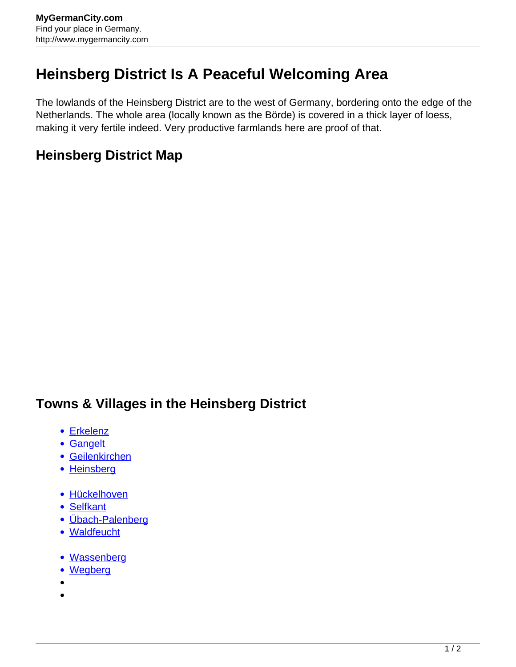## **Heinsberg District Is A Peaceful Welcoming Area**

The lowlands of the Heinsberg District are to the west of Germany, bordering onto the edge of the Netherlands. The whole area (locally known as the Börde) is covered in a thick layer of loess, making it very fertile indeed. Very productive farmlands here are proof of that.

## **Heinsberg District Map**

## **Towns & Villages in the Heinsberg District**

- [Erkelenz](http://www.mygermancity.com/erkelenz)
- [Gangelt](http://www.mygermancity.com/gangelt)
- [Geilenkirchen](http://www.mygermancity.com/geilenkirchen)
- [Heinsberg](http://www.mygermancity.com/heinsberg)
- · [Hückelhoven](http://www.mygermancity.com/hueckelhoven)
- [Selfkant](http://www.mygermancity.com/selfkant)
- [Übach-Palenberg](http://www.mygermancity.com/uebach-palenberg)
- [Waldfeucht](http://www.mygermancity.com/waldfeucht)
- [Wassenberg](http://www.mygermancity.com/wassenberg)
- [Wegberg](http://www.mygermancity.com/wegberg)
- $\bullet$